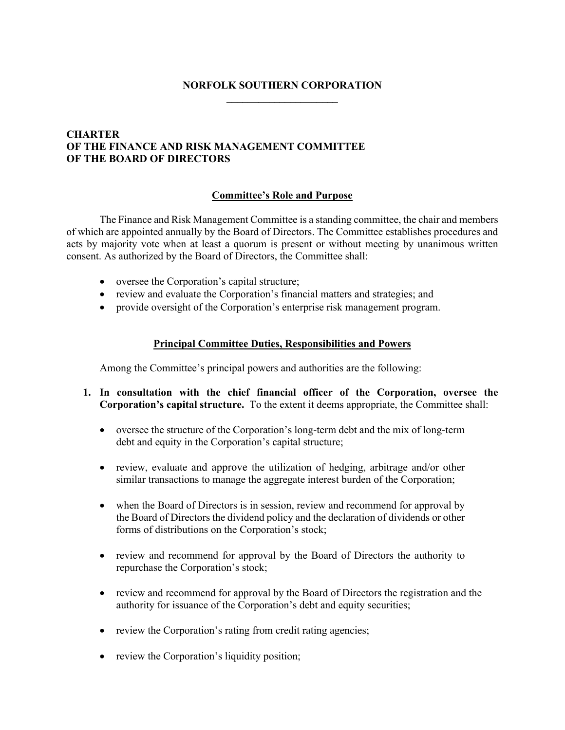# **NORFOLK SOUTHERN CORPORATION \_\_\_\_\_\_\_\_\_\_\_\_\_\_\_\_\_\_\_\_\_**

# **CHARTER OF THE FINANCE AND RISK MANAGEMENT COMMITTEE OF THE BOARD OF DIRECTORS**

### **Committee's Role and Purpose**

The Finance and Risk Management Committee is a standing committee, the chair and members of which are appointed annually by the Board of Directors. The Committee establishes procedures and acts by majority vote when at least a quorum is present or without meeting by unanimous written consent. As authorized by the Board of Directors, the Committee shall:

- oversee the Corporation's capital structure;
- review and evaluate the Corporation's financial matters and strategies; and
- provide oversight of the Corporation's enterprise risk management program.

#### **Principal Committee Duties, Responsibilities and Powers**

Among the Committee's principal powers and authorities are the following:

- **1. In consultation with the chief financial officer of the Corporation, oversee the Corporation's capital structure.** To the extent it deems appropriate, the Committee shall:
	- oversee the structure of the Corporation's long-term debt and the mix of long-term debt and equity in the Corporation's capital structure;
	- review, evaluate and approve the utilization of hedging, arbitrage and/or other similar transactions to manage the aggregate interest burden of the Corporation;
	- when the Board of Directors is in session, review and recommend for approval by the Board of Directors the dividend policy and the declaration of dividends or other forms of distributions on the Corporation's stock;
	- review and recommend for approval by the Board of Directors the authority to repurchase the Corporation's stock;
	- review and recommend for approval by the Board of Directors the registration and the authority for issuance of the Corporation's debt and equity securities;
	- review the Corporation's rating from credit rating agencies;
	- review the Corporation's liquidity position;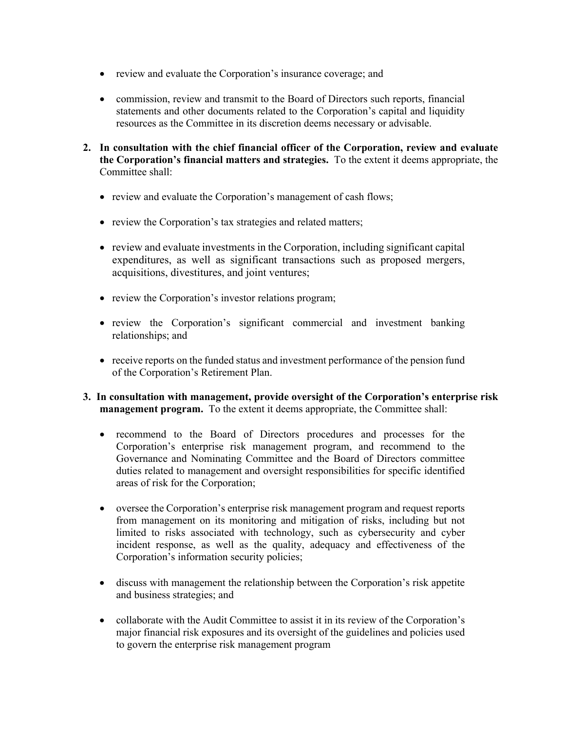- review and evaluate the Corporation's insurance coverage; and
- commission, review and transmit to the Board of Directors such reports, financial statements and other documents related to the Corporation's capital and liquidity resources as the Committee in its discretion deems necessary or advisable.
- **2. In consultation with the chief financial officer of the Corporation, review and evaluate the Corporation's financial matters and strategies.** To the extent it deems appropriate, the Committee shall:
	- review and evaluate the Corporation's management of cash flows;
	- review the Corporation's tax strategies and related matters;
	- review and evaluate investments in the Corporation, including significant capital expenditures, as well as significant transactions such as proposed mergers, acquisitions, divestitures, and joint ventures;
	- review the Corporation's investor relations program;
	- review the Corporation's significant commercial and investment banking relationships; and
	- receive reports on the funded status and investment performance of the pension fund of the Corporation's Retirement Plan.
- **3. In consultation with management, provide oversight of the Corporation's enterprise risk management program.** To the extent it deems appropriate, the Committee shall:
	- recommend to the Board of Directors procedures and processes for the Corporation's enterprise risk management program, and recommend to the Governance and Nominating Committee and the Board of Directors committee duties related to management and oversight responsibilities for specific identified areas of risk for the Corporation;
	- oversee the Corporation's enterprise risk management program and request reports from management on its monitoring and mitigation of risks, including but not limited to risks associated with technology, such as cybersecurity and cyber incident response, as well as the quality, adequacy and effectiveness of the Corporation's information security policies;
	- discuss with management the relationship between the Corporation's risk appetite and business strategies; and
	- collaborate with the Audit Committee to assist it in its review of the Corporation's major financial risk exposures and its oversight of the guidelines and policies used to govern the enterprise risk management program